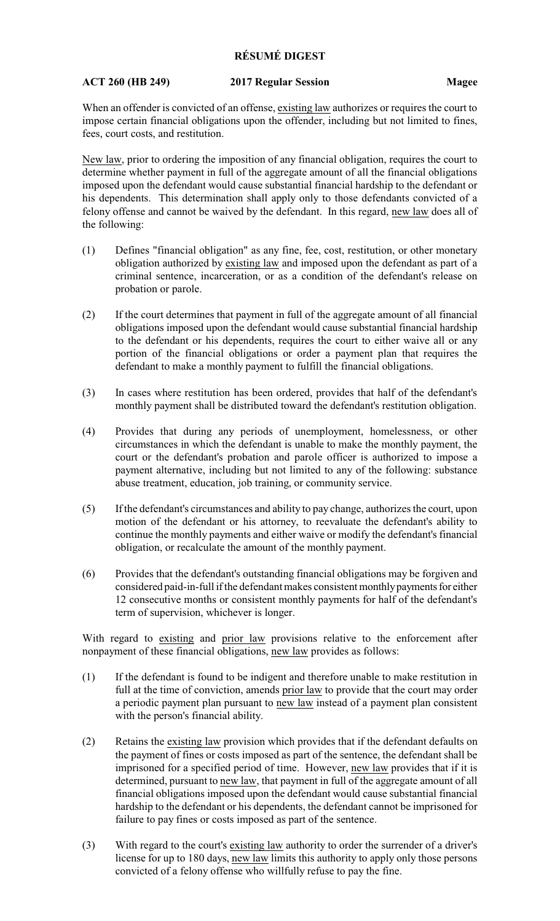## **RÉSUMÉ DIGEST**

## **ACT 260 (HB 249) 2017 Regular Session Magee**

When an offender is convicted of an offense, existing law authorizes or requires the court to impose certain financial obligations upon the offender, including but not limited to fines, fees, court costs, and restitution.

New law, prior to ordering the imposition of any financial obligation, requires the court to determine whether payment in full of the aggregate amount of all the financial obligations imposed upon the defendant would cause substantial financial hardship to the defendant or his dependents. This determination shall apply only to those defendants convicted of a felony offense and cannot be waived by the defendant. In this regard, new law does all of the following:

- (1) Defines "financial obligation" as any fine, fee, cost, restitution, or other monetary obligation authorized by existing law and imposed upon the defendant as part of a criminal sentence, incarceration, or as a condition of the defendant's release on probation or parole.
- (2) If the court determines that payment in full of the aggregate amount of all financial obligations imposed upon the defendant would cause substantial financial hardship to the defendant or his dependents, requires the court to either waive all or any portion of the financial obligations or order a payment plan that requires the defendant to make a monthly payment to fulfill the financial obligations.
- (3) In cases where restitution has been ordered, provides that half of the defendant's monthly payment shall be distributed toward the defendant's restitution obligation.
- (4) Provides that during any periods of unemployment, homelessness, or other circumstances in which the defendant is unable to make the monthly payment, the court or the defendant's probation and parole officer is authorized to impose a payment alternative, including but not limited to any of the following: substance abuse treatment, education, job training, or community service.
- (5) If the defendant's circumstances and ability to pay change, authorizes the court, upon motion of the defendant or his attorney, to reevaluate the defendant's ability to continue the monthly payments and either waive or modify the defendant's financial obligation, or recalculate the amount of the monthly payment.
- (6) Provides that the defendant's outstanding financial obligations may be forgiven and considered paid-in-full if the defendant makes consistent monthly payments for either 12 consecutive months or consistent monthly payments for half of the defendant's term of supervision, whichever is longer.

With regard to existing and prior law provisions relative to the enforcement after nonpayment of these financial obligations, new law provides as follows:

- (1) If the defendant is found to be indigent and therefore unable to make restitution in full at the time of conviction, amends prior law to provide that the court may order a periodic payment plan pursuant to new law instead of a payment plan consistent with the person's financial ability.
- (2) Retains the existing law provision which provides that if the defendant defaults on the payment of fines or costs imposed as part of the sentence, the defendant shall be imprisoned for a specified period of time. However, new law provides that if it is determined, pursuant to new law, that payment in full of the aggregate amount of all financial obligations imposed upon the defendant would cause substantial financial hardship to the defendant or his dependents, the defendant cannot be imprisoned for failure to pay fines or costs imposed as part of the sentence.
- (3) With regard to the court's existing law authority to order the surrender of a driver's license for up to 180 days, new law limits this authority to apply only those persons convicted of a felony offense who willfully refuse to pay the fine.